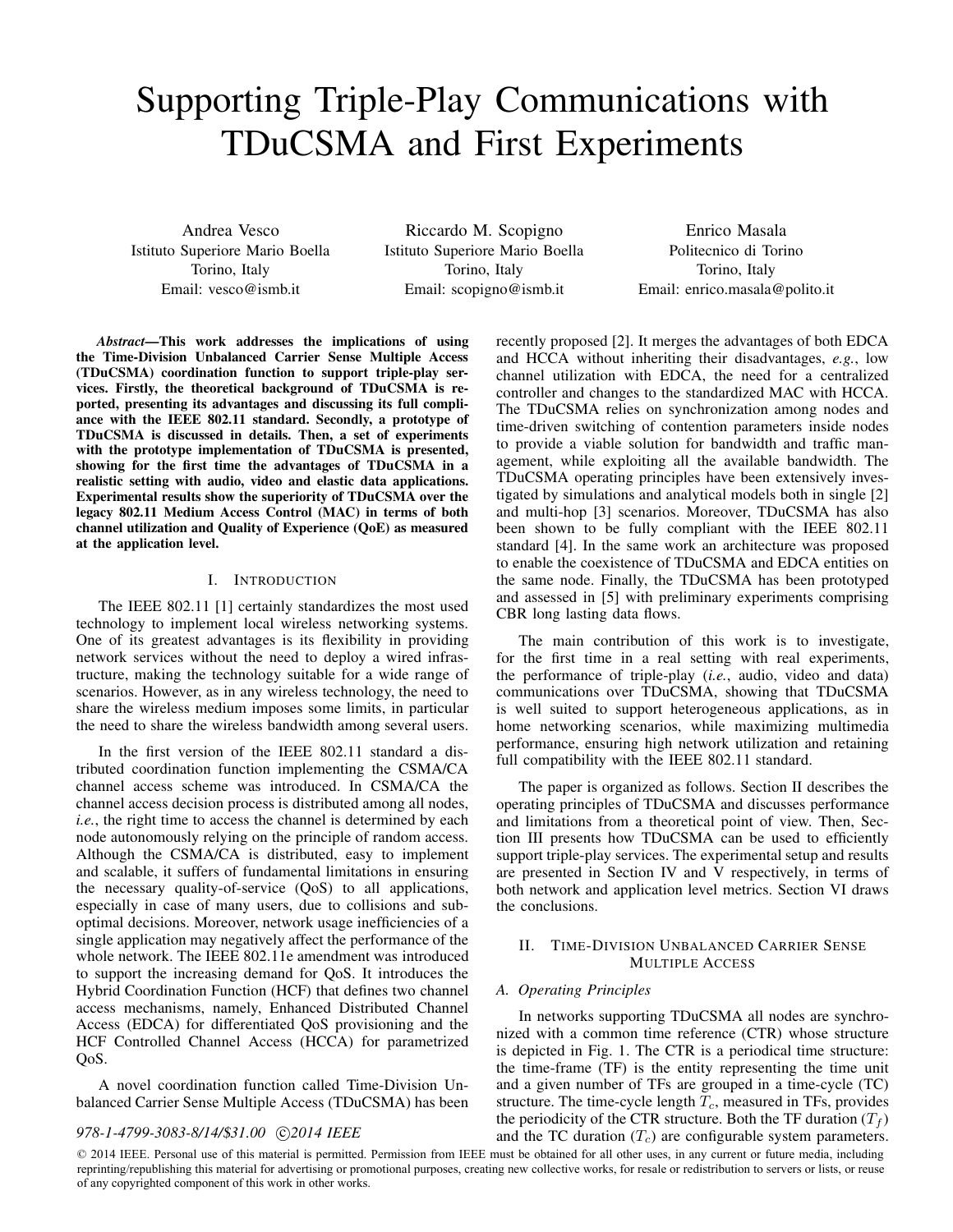# Supporting Triple-Play Communications with TDuCSMA and First Experiments

Andrea Vesco Istituto Superiore Mario Boella Torino, Italy Email: vesco@ismb.it

Riccardo M. Scopigno Istituto Superiore Mario Boella Torino, Italy Email: scopigno@ismb.it

Enrico Masala Politecnico di Torino Torino, Italy Email: enrico.masala@polito.it

*Abstract*—This work addresses the implications of using the Time-Division Unbalanced Carrier Sense Multiple Access (TDuCSMA) coordination function to support triple-play services. Firstly, the theoretical background of TDuCSMA is reported, presenting its advantages and discussing its full compliance with the IEEE 802.11 standard. Secondly, a prototype of TDuCSMA is discussed in details. Then, a set of experiments with the prototype implementation of TDuCSMA is presented, showing for the first time the advantages of TDuCSMA in a realistic setting with audio, video and elastic data applications. Experimental results show the superiority of TDuCSMA over the legacy 802.11 Medium Access Control (MAC) in terms of both channel utilization and Quality of Experience (QoE) as measured at the application level.

## I. INTRODUCTION

The IEEE 802.11 [1] certainly standardizes the most used technology to implement local wireless networking systems. One of its greatest advantages is its flexibility in providing network services without the need to deploy a wired infrastructure, making the technology suitable for a wide range of scenarios. However, as in any wireless technology, the need to share the wireless medium imposes some limits, in particular the need to share the wireless bandwidth among several users.

In the first version of the IEEE 802.11 standard a distributed coordination function implementing the CSMA/CA channel access scheme was introduced. In CSMA/CA the channel access decision process is distributed among all nodes, *i.e.*, the right time to access the channel is determined by each node autonomously relying on the principle of random access. Although the CSMA/CA is distributed, easy to implement and scalable, it suffers of fundamental limitations in ensuring the necessary quality-of-service (QoS) to all applications, especially in case of many users, due to collisions and suboptimal decisions. Moreover, network usage inefficiencies of a single application may negatively affect the performance of the whole network. The IEEE 802.11e amendment was introduced to support the increasing demand for QoS. It introduces the Hybrid Coordination Function (HCF) that defines two channel access mechanisms, namely, Enhanced Distributed Channel Access (EDCA) for differentiated QoS provisioning and the HCF Controlled Channel Access (HCCA) for parametrized QoS.

A novel coordination function called Time-Division Unbalanced Carrier Sense Multiple Access (TDuCSMA) has been

## *978-1-4799-3083-8/14/*\$*31.00* c *2014 IEEE*

recently proposed [2]. It merges the advantages of both EDCA and HCCA without inheriting their disadvantages, *e.g.*, low channel utilization with EDCA, the need for a centralized controller and changes to the standardized MAC with HCCA. The TDuCSMA relies on synchronization among nodes and time-driven switching of contention parameters inside nodes to provide a viable solution for bandwidth and traffic management, while exploiting all the available bandwidth. The TDuCSMA operating principles have been extensively investigated by simulations and analytical models both in single [2] and multi-hop [3] scenarios. Moreover, TDuCSMA has also been shown to be fully compliant with the IEEE 802.11 standard [4]. In the same work an architecture was proposed to enable the coexistence of TDuCSMA and EDCA entities on the same node. Finally, the TDuCSMA has been prototyped and assessed in [5] with preliminary experiments comprising CBR long lasting data flows.

The main contribution of this work is to investigate, for the first time in a real setting with real experiments, the performance of triple-play (*i.e.*, audio, video and data) communications over TDuCSMA, showing that TDuCSMA is well suited to support heterogeneous applications, as in home networking scenarios, while maximizing multimedia performance, ensuring high network utilization and retaining full compatibility with the IEEE 802.11 standard.

The paper is organized as follows. Section II describes the operating principles of TDuCSMA and discusses performance and limitations from a theoretical point of view. Then, Section III presents how TDuCSMA can be used to efficiently support triple-play services. The experimental setup and results are presented in Section IV and V respectively, in terms of both network and application level metrics. Section VI draws the conclusions.

# II. TIME-DIVISION UNBALANCED CARRIER SENSE MULTIPLE ACCESS

# *A. Operating Principles*

In networks supporting TDuCSMA all nodes are synchronized with a common time reference (CTR) whose structure is depicted in Fig. 1. The CTR is a periodical time structure: the time-frame (TF) is the entity representing the time unit and a given number of TFs are grouped in a time-cycle (TC) structure. The time-cycle length  $T_c$ , measured in TFs, provides the periodicity of the CTR structure. Both the TF duration  $(T_f)$ and the TC duration  $(T_c)$  are configurable system parameters.

© 2014 IEEE. Personal use of this material is permitted. Permission from IEEE must be obtained for all other uses, in any current or future media, including reprinting/republishing this material for advertising or promotional purposes, creating new collective works, for resale or redistribution to servers or lists, or reuse of any copyrighted component of this work in other works.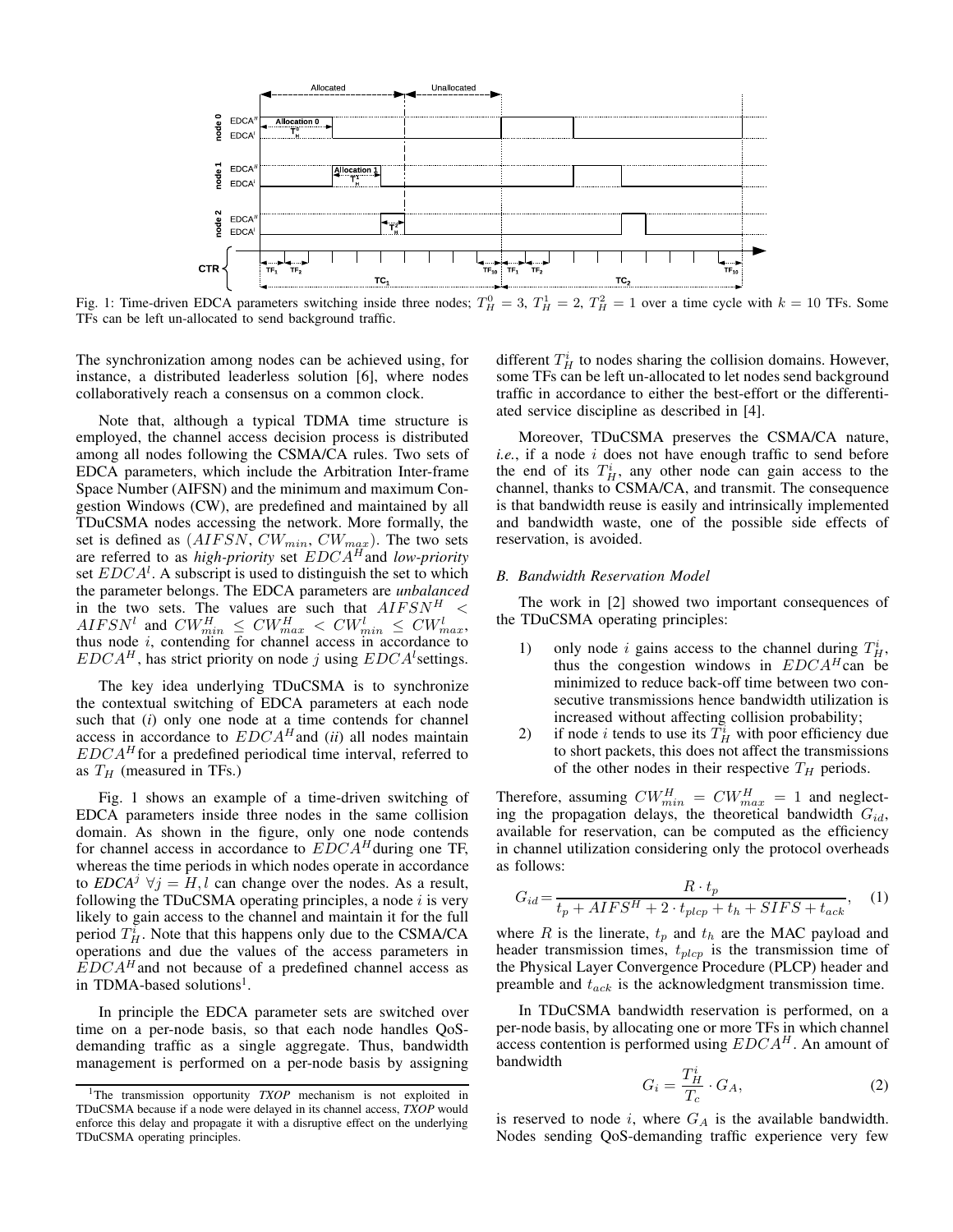

Fig. 1: Time-driven EDCA parameters switching inside three nodes;  $T_H^0 = 3$ ,  $T_H^1 = 2$ ,  $T_H^2 = 1$  over a time cycle with  $k = 10$  TFs. Some TFs can be left un-allocated to send background traffic.

The synchronization among nodes can be achieved using, for instance, a distributed leaderless solution [6], where nodes collaboratively reach a consensus on a common clock.

Note that, although a typical TDMA time structure is employed, the channel access decision process is distributed among all nodes following the CSMA/CA rules. Two sets of EDCA parameters, which include the Arbitration Inter-frame Space Number (AIFSN) and the minimum and maximum Congestion Windows (CW), are predefined and maintained by all TDuCSMA nodes accessing the network. More formally, the set is defined as  $(AIFSN, CW_{min}, CW_{max})$ . The two sets are referred to as *high-priority* set  $EDCA^{H}$  and *low-priority* set  $EDCA^l$ . A subscript is used to distinguish the set to which the parameter belongs. The EDCA parameters are *unbalanced* in the two sets. The values are such that  $AIFSN<sup>H</sup>$  <  $AIFSN<sup>l</sup>$  and  $CW_{min}^H \leq CW_{max}^H < CW_{min}^l \leq CW_{max}^l$ , thus node  $i$ , contending for channel access in accordance to  $EDCA^H$ , has strict priority on node j using  $EDCA^l$  settings.

The key idea underlying TDuCSMA is to synchronize the contextual switching of EDCA parameters at each node such that (*i*) only one node at a time contends for channel access in accordance to  $EDCA<sup>H</sup>$  and *(ii)* all nodes maintain  $EDCA<sup>H</sup>$  for a predefined periodical time interval, referred to as  $T_H$  (measured in TFs.)

Fig. 1 shows an example of a time-driven switching of EDCA parameters inside three nodes in the same collision domain. As shown in the figure, only one node contends for channel access in accordance to  $EDCA^H$  during one TF, whereas the time periods in which nodes operate in accordance to  $EDCA^{j}$   $\forall j = H, l$  can change over the nodes. As a result, following the TDuCSMA operating principles, a node  $i$  is very likely to gain access to the channel and maintain it for the full period  $T_H^i$ . Note that this happens only due to the CSMA/CA operations and due the values of the access parameters in  $\dot{EDCA}^H$  and not because of a predefined channel access as in TDMA-based solutions<sup>1</sup>.

In principle the EDCA parameter sets are switched over time on a per-node basis, so that each node handles QoSdemanding traffic as a single aggregate. Thus, bandwidth management is performed on a per-node basis by assigning

different  $T_H^i$  to nodes sharing the collision domains. However, some TFs can be left un-allocated to let nodes send background traffic in accordance to either the best-effort or the differentiated service discipline as described in [4].

Moreover, TDuCSMA preserves the CSMA/CA nature, *i.e.*, if a node *i* does not have enough traffic to send before the end of its  $T_H^i$ , any other node can gain access to the channel, thanks to CSMA/CA, and transmit. The consequence is that bandwidth reuse is easily and intrinsically implemented and bandwidth waste, one of the possible side effects of reservation, is avoided.

## *B. Bandwidth Reservation Model*

The work in [2] showed two important consequences of the TDuCSMA operating principles:

- 1) only node *i* gains access to the channel during  $T_H^i$ , thus the congestion windows in  $EDCA<sup>H</sup>$ can be minimized to reduce back-off time between two consecutive transmissions hence bandwidth utilization is increased without affecting collision probability;
- 2) if node *i* tends to use its  $\overline{T_H^i}$  with poor efficiency due to short packets, this does not affect the transmissions of the other nodes in their respective  $T_H$  periods.

Therefore, assuming  $CW_{min}^H = CW_{max}^H = 1$  and neglecting the propagation delays, the theoretical bandwidth  $G_{id}$ , available for reservation, can be computed as the efficiency in channel utilization considering only the protocol overheads as follows:

$$
G_{id} = \frac{R \cdot t_p}{t_p + AIFS^H + 2 \cdot t_{plop} + t_h + SIFS + t_{ack}}, \quad (1)
$$

where R is the linerate,  $t_p$  and  $t_h$  are the MAC payload and header transmission times,  $t_{p l c p}$  is the transmission time of the Physical Layer Convergence Procedure (PLCP) header and preamble and  $t_{ack}$  is the acknowledgment transmission time.

In TDuCSMA bandwidth reservation is performed, on a per-node basis, by allocating one or more TFs in which channel access contention is performed using  $EDCA<sup>H</sup>$ . An amount of bandwidth

$$
G_i = \frac{T_H^i}{T_c} \cdot G_A,\tag{2}
$$

is reserved to node  $i$ , where  $G_A$  is the available bandwidth. Nodes sending QoS-demanding traffic experience very few

<sup>&</sup>lt;sup>1</sup>The transmission opportunity *TXOP* mechanism is not exploited in TDuCSMA because if a node were delayed in its channel access, *TXOP* would enforce this delay and propagate it with a disruptive effect on the underlying TDuCSMA operating principles.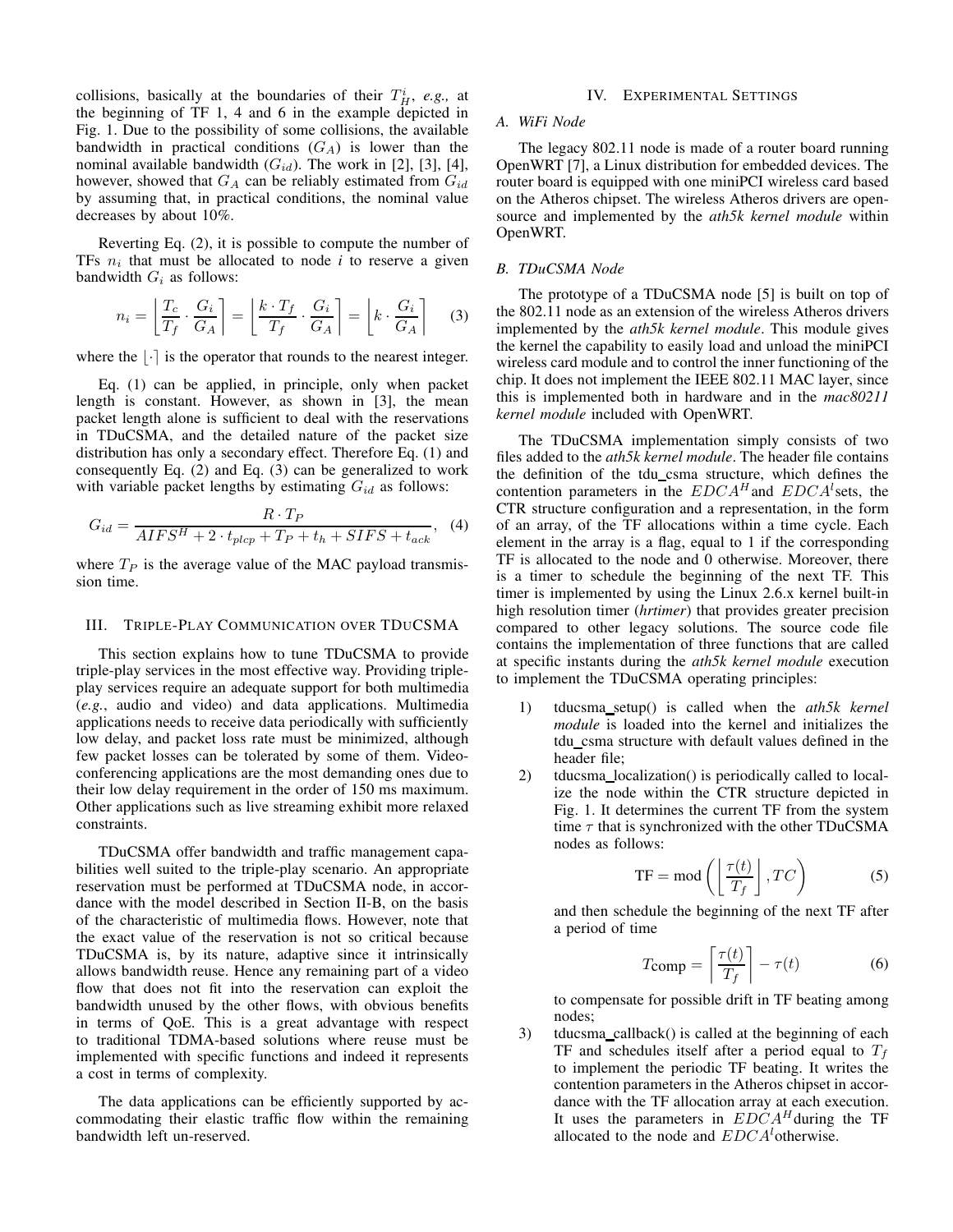collisions, basically at the boundaries of their  $T_H^i$ , *e.g.*, at the beginning of TF 1, 4 and 6 in the example depicted in Fig. 1. Due to the possibility of some collisions, the available bandwidth in practical conditions  $(G_A)$  is lower than the nominal available bandwidth  $(G_{id})$ . The work in [2], [3], [4], however, showed that  $G_A$  can be reliably estimated from  $G_{id}$ by assuming that, in practical conditions, the nominal value decreases by about 10%.

Reverting Eq. (2), it is possible to compute the number of TFs  $n_i$  that must be allocated to node  $i$  to reserve a given bandwidth  $G_i$  as follows:

$$
n_i = \left\lfloor \frac{T_c}{T_f} \cdot \frac{G_i}{G_A} \right\rfloor = \left\lfloor \frac{k \cdot T_f}{T_f} \cdot \frac{G_i}{G_A} \right\rfloor = \left\lfloor k \cdot \frac{G_i}{G_A} \right\rfloor \tag{3}
$$

where the  $|\cdot|$  is the operator that rounds to the nearest integer.

Eq. (1) can be applied, in principle, only when packet length is constant. However, as shown in [3], the mean packet length alone is sufficient to deal with the reservations in TDuCSMA, and the detailed nature of the packet size distribution has only a secondary effect. Therefore Eq. (1) and consequently Eq. (2) and Eq. (3) can be generalized to work with variable packet lengths by estimating  $G_{id}$  as follows:

$$
G_{id} = \frac{R \cdot T_P}{AIFS^H + 2 \cdot t_{plep} + T_P + t_h + SIFS + t_{ack}}, \quad (4)
$$

where  $T_P$  is the average value of the MAC payload transmission time.

#### III. TRIPLE-PLAY COMMUNICATION OVER TDUCSMA

This section explains how to tune TDuCSMA to provide triple-play services in the most effective way. Providing tripleplay services require an adequate support for both multimedia (*e.g.*, audio and video) and data applications. Multimedia applications needs to receive data periodically with sufficiently low delay, and packet loss rate must be minimized, although few packet losses can be tolerated by some of them. Videoconferencing applications are the most demanding ones due to their low delay requirement in the order of 150 ms maximum. Other applications such as live streaming exhibit more relaxed constraints.

TDuCSMA offer bandwidth and traffic management capabilities well suited to the triple-play scenario. An appropriate reservation must be performed at TDuCSMA node, in accordance with the model described in Section II-B, on the basis of the characteristic of multimedia flows. However, note that the exact value of the reservation is not so critical because TDuCSMA is, by its nature, adaptive since it intrinsically allows bandwidth reuse. Hence any remaining part of a video flow that does not fit into the reservation can exploit the bandwidth unused by the other flows, with obvious benefits in terms of QoE. This is a great advantage with respect to traditional TDMA-based solutions where reuse must be implemented with specific functions and indeed it represents a cost in terms of complexity.

The data applications can be efficiently supported by accommodating their elastic traffic flow within the remaining bandwidth left un-reserved.

#### IV. EXPERIMENTAL SETTINGS

## *A. WiFi Node*

The legacy 802.11 node is made of a router board running OpenWRT [7], a Linux distribution for embedded devices. The router board is equipped with one miniPCI wireless card based on the Atheros chipset. The wireless Atheros drivers are opensource and implemented by the *ath5k kernel module* within OpenWRT.

#### *B. TDuCSMA Node*

The prototype of a TDuCSMA node [5] is built on top of the 802.11 node as an extension of the wireless Atheros drivers implemented by the *ath5k kernel module*. This module gives the kernel the capability to easily load and unload the miniPCI wireless card module and to control the inner functioning of the chip. It does not implement the IEEE 802.11 MAC layer, since this is implemented both in hardware and in the *mac80211 kernel module* included with OpenWRT.

The TDuCSMA implementation simply consists of two files added to the *ath5k kernel module*. The header file contains the definition of the tdu csma structure, which defines the contention parameters in the  $EDCA^H$  and  $EDCA^l$  sets, the CTR structure configuration and a representation, in the form of an array, of the TF allocations within a time cycle. Each element in the array is a flag, equal to 1 if the corresponding TF is allocated to the node and 0 otherwise. Moreover, there is a timer to schedule the beginning of the next TF. This timer is implemented by using the Linux 2.6.x kernel built-in high resolution timer (*hrtimer*) that provides greater precision compared to other legacy solutions. The source code file contains the implementation of three functions that are called at specific instants during the *ath5k kernel module* execution to implement the TDuCSMA operating principles:

- 1) tducsma setup() is called when the *ath5k kernel module* is loaded into the kernel and initializes the tdu csma structure with default values defined in the header file;
- 2) tducsma localization() is periodically called to localize the node within the CTR structure depicted in Fig. 1. It determines the current TF from the system time  $\tau$  that is synchronized with the other TDuCSMA nodes as follows:

$$
TF = mod\left(\left\lfloor \frac{\tau(t)}{T_f} \right\rfloor, TC\right) \tag{5}
$$

and then schedule the beginning of the next TF after a period of time

$$
T_{\text{comp}} = \left\lceil \frac{\tau(t)}{T_f} \right\rceil - \tau(t) \tag{6}
$$

to compensate for possible drift in TF beating among nodes;

3) tducsma callback() is called at the beginning of each TF and schedules itself after a period equal to  $T_f$ to implement the periodic TF beating. It writes the contention parameters in the Atheros chipset in accordance with the TF allocation array at each execution. It uses the parameters in  $EDCA<sup>H</sup>$  during the TF allocated to the node and  $EDCA<sup>l</sup>$  otherwise.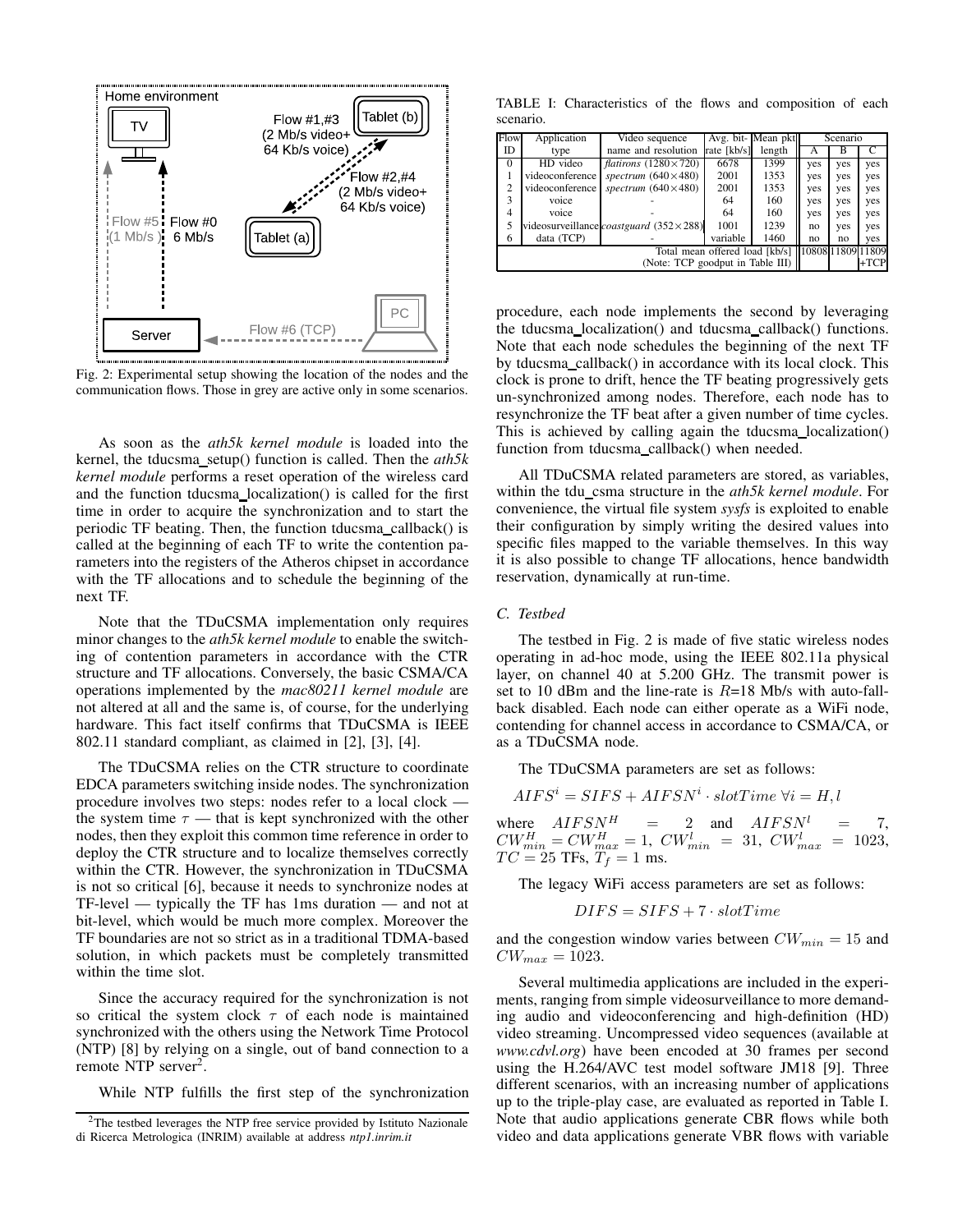

Fig. 2: Experimental setup showing the location of the nodes and the communication flows. Those in grey are active only in some scenarios.

As soon as the *ath5k kernel module* is loaded into the kernel, the tducsma setup() function is called. Then the *ath5k kernel module* performs a reset operation of the wireless card and the function tducsma localization() is called for the first time in order to acquire the synchronization and to start the periodic TF beating. Then, the function tducsma callback() is called at the beginning of each TF to write the contention parameters into the registers of the Atheros chipset in accordance with the TF allocations and to schedule the beginning of the next TF.

Note that the TDuCSMA implementation only requires minor changes to the *ath5k kernel module* to enable the switching of contention parameters in accordance with the CTR structure and TF allocations. Conversely, the basic CSMA/CA operations implemented by the *mac80211 kernel module* are not altered at all and the same is, of course, for the underlying hardware. This fact itself confirms that TDuCSMA is IEEE 802.11 standard compliant, as claimed in [2], [3], [4].

The TDuCSMA relies on the CTR structure to coordinate EDCA parameters switching inside nodes. The synchronization procedure involves two steps: nodes refer to a local clock the system time  $\tau$  — that is kept synchronized with the other nodes, then they exploit this common time reference in order to deploy the CTR structure and to localize themselves correctly within the CTR. However, the synchronization in TDuCSMA is not so critical [6], because it needs to synchronize nodes at TF-level — typically the TF has 1ms duration — and not at bit-level, which would be much more complex. Moreover the TF boundaries are not so strict as in a traditional TDMA-based solution, in which packets must be completely transmitted within the time slot.

Since the accuracy required for the synchronization is not so critical the system clock  $\tau$  of each node is maintained synchronized with the others using the Network Time Protocol (NTP) [8] by relying on a single, out of band connection to a remote NTP server<sup>2</sup>.

While NTP fulfills the first step of the synchronization

TABLE I: Characteristics of the flows and composition of each scenario.

| Flow                           | Application     | Avg. bit- Mean pkt<br>Video sequence                   |             | Scenario |     |     |                 |
|--------------------------------|-----------------|--------------------------------------------------------|-------------|----------|-----|-----|-----------------|
| ID                             | type            | name and resolution                                    | rate [kb/s] | length   | А   | в   |                 |
| $\Omega$                       | HD video        | flatirons $(1280\times720)$                            | 6678        | 1399     | yes | yes | yes             |
|                                | videoconference | spectrum $(640 \times 480)$                            | 2001        | 1353     | yes | yes | yes             |
| $\overline{c}$                 | videoconference | spectrum $(640 \times 480)$                            | 2001        | 1353     | yes | yes | yes             |
| 3                              | voice           |                                                        | 64          | 160      | yes | yes | yes             |
| 4                              | voice           |                                                        | 64          | 160      | yes | yes | yes             |
| 5                              |                 | videosurveillance <i>coastguard</i> $(352 \times 288)$ | 1001        | 1239     | no  | yes | yes             |
| 6                              | data (TCP)      |                                                        | variable    | 1460     | no  | no  | yes             |
| Total mean offered load [kb/s] |                 |                                                        |             |          |     |     | 108081180911809 |
|                                |                 |                                                        |             | $+TCP$   |     |     |                 |

procedure, each node implements the second by leveraging the tducsma localization() and tducsma callback() functions. Note that each node schedules the beginning of the next TF by tducsma callback() in accordance with its local clock. This clock is prone to drift, hence the TF beating progressively gets un-synchronized among nodes. Therefore, each node has to resynchronize the TF beat after a given number of time cycles. This is achieved by calling again the tducsma localization() function from tducsma callback() when needed.

All TDuCSMA related parameters are stored, as variables, within the tdu csma structure in the *ath5k kernel module*. For convenience, the virtual file system *sysfs* is exploited to enable their configuration by simply writing the desired values into specific files mapped to the variable themselves. In this way it is also possible to change TF allocations, hence bandwidth reservation, dynamically at run-time.

## *C. Testbed*

The testbed in Fig. 2 is made of five static wireless nodes operating in ad-hoc mode, using the IEEE 802.11a physical layer, on channel 40 at 5.200 GHz. The transmit power is set to 10 dBm and the line-rate is  $R=18$  Mb/s with auto-fallback disabled. Each node can either operate as a WiFi node, contending for channel access in accordance to CSMA/CA, or as a TDuCSMA node.

The TDuCSMA parameters are set as follows:

$$
AIFS^i = SIFS + AIFSN^i \cdot slotTime \; \forall i = H, l
$$

where  $AIFSN^H$  = 2 and  $AIFSN^l$  = 7,  $CW_{min}^H = CW_{max}^H = 1, \ CW_{min}^l = 31, \ CW_{max}^l = 1023,$  $TC = 25$  TFs,  $T_f = 1$  ms.

The legacy WiFi access parameters are set as follows:

$$
DIFS = SIFS + 7 \cdot slotTime
$$

and the congestion window varies between  $CW_{min} = 15$  and  $CW_{max} = 1023.$ 

Several multimedia applications are included in the experiments, ranging from simple videosurveillance to more demanding audio and videoconferencing and high-definition (HD) video streaming. Uncompressed video sequences (available at *www.cdvl.org*) have been encoded at 30 frames per second using the H.264/AVC test model software JM18 [9]. Three different scenarios, with an increasing number of applications up to the triple-play case, are evaluated as reported in Table I. Note that audio applications generate CBR flows while both video and data applications generate VBR flows with variable

 $2$ The testbed leverages the NTP free service provided by Istituto Nazionale di Ricerca Metrologica (INRIM) available at address *ntp1.inrim.it*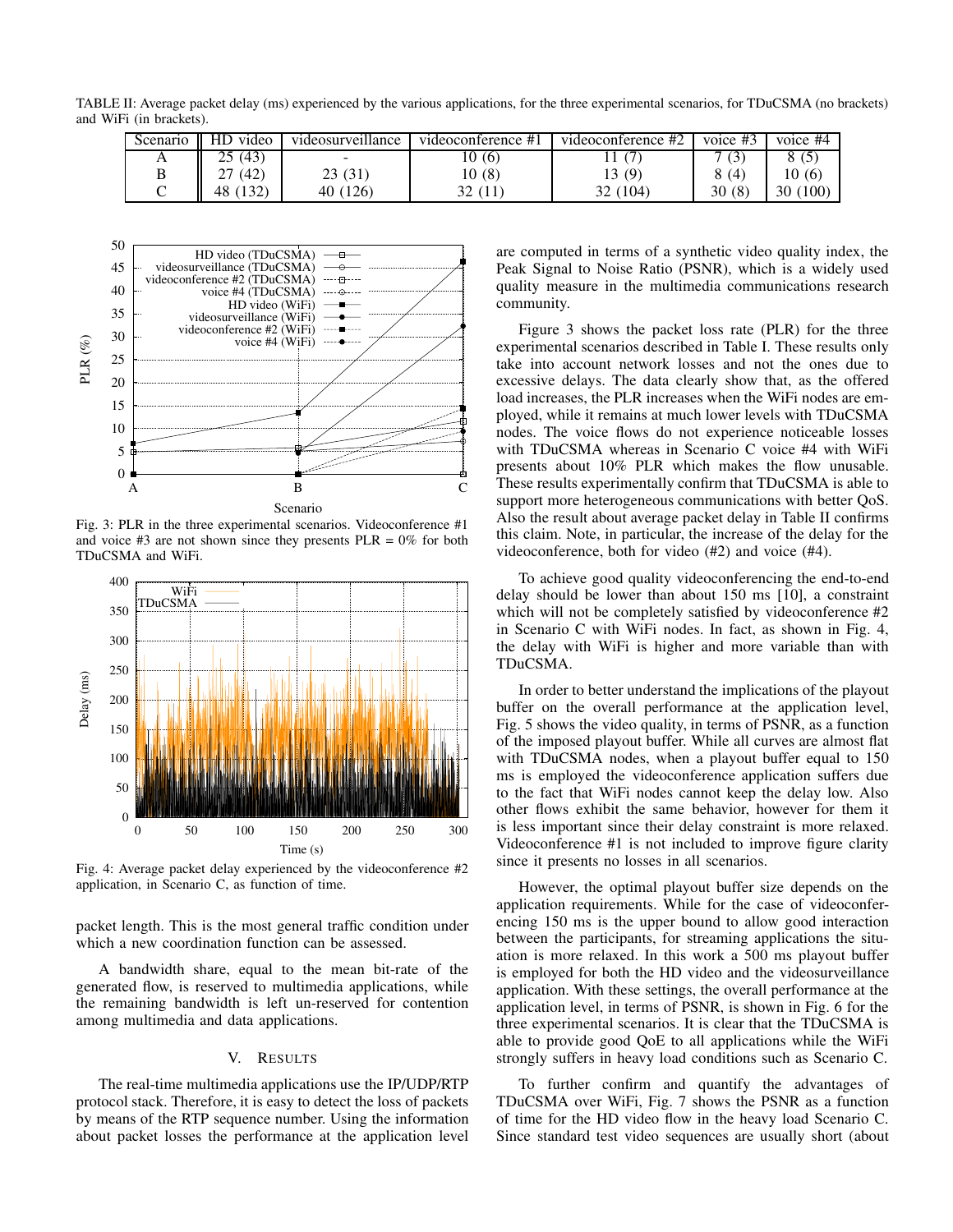TABLE II: Average packet delay (ms) experienced by the various applications, for the three experimental scenarios, for TDuCSMA (no brackets) and WiFi (in brackets).

| Scenario | HD video   | videosurveillance | videoconference #1 | videoconference #2 | voice #3 | voice #4    |
|----------|------------|-------------------|--------------------|--------------------|----------|-------------|
|          | 25(43)     | $\sim$            | 10(6)              |                    |          |             |
| ╍        | (42)<br>27 | 23(31)            | 10(8)              | 13(9)              | 8(4)     | 10(6)       |
|          | 48 (       | 40 (126)          | 32 (11)            | 32 (104)           | 30(8)    | (100)<br>30 |



Fig. 3: PLR in the three experimental scenarios. Videoconference #1 and voice  $#3$  are not shown since they presents  $PLR = 0\%$  for both TDuCSMA and WiFi.



Fig. 4: Average packet delay experienced by the videoconference #2 application, in Scenario C, as function of time.

packet length. This is the most general traffic condition under which a new coordination function can be assessed.

A bandwidth share, equal to the mean bit-rate of the generated flow, is reserved to multimedia applications, while the remaining bandwidth is left un-reserved for contention among multimedia and data applications.

#### V. RESULTS

The real-time multimedia applications use the IP/UDP/RTP protocol stack. Therefore, it is easy to detect the loss of packets by means of the RTP sequence number. Using the information about packet losses the performance at the application level are computed in terms of a synthetic video quality index, the Peak Signal to Noise Ratio (PSNR), which is a widely used quality measure in the multimedia communications research community.

Figure 3 shows the packet loss rate (PLR) for the three experimental scenarios described in Table I. These results only take into account network losses and not the ones due to excessive delays. The data clearly show that, as the offered load increases, the PLR increases when the WiFi nodes are employed, while it remains at much lower levels with TDuCSMA nodes. The voice flows do not experience noticeable losses with TDuCSMA whereas in Scenario C voice #4 with WiFi presents about 10% PLR which makes the flow unusable. These results experimentally confirm that TDuCSMA is able to support more heterogeneous communications with better QoS. Also the result about average packet delay in Table II confirms this claim. Note, in particular, the increase of the delay for the videoconference, both for video (#2) and voice (#4).

To achieve good quality videoconferencing the end-to-end delay should be lower than about 150 ms [10], a constraint which will not be completely satisfied by videoconference #2 in Scenario C with WiFi nodes. In fact, as shown in Fig. 4, the delay with WiFi is higher and more variable than with TDuCSMA.

In order to better understand the implications of the playout buffer on the overall performance at the application level, Fig. 5 shows the video quality, in terms of PSNR, as a function of the imposed playout buffer. While all curves are almost flat with TDuCSMA nodes, when a playout buffer equal to 150 ms is employed the videoconference application suffers due to the fact that WiFi nodes cannot keep the delay low. Also other flows exhibit the same behavior, however for them it is less important since their delay constraint is more relaxed. Videoconference #1 is not included to improve figure clarity since it presents no losses in all scenarios.

However, the optimal playout buffer size depends on the application requirements. While for the case of videoconferencing 150 ms is the upper bound to allow good interaction between the participants, for streaming applications the situation is more relaxed. In this work a 500 ms playout buffer is employed for both the HD video and the videosurveillance application. With these settings, the overall performance at the application level, in terms of PSNR, is shown in Fig. 6 for the three experimental scenarios. It is clear that the TDuCSMA is able to provide good QoE to all applications while the WiFi strongly suffers in heavy load conditions such as Scenario C.

To further confirm and quantify the advantages of TDuCSMA over WiFi, Fig. 7 shows the PSNR as a function of time for the HD video flow in the heavy load Scenario C. Since standard test video sequences are usually short (about